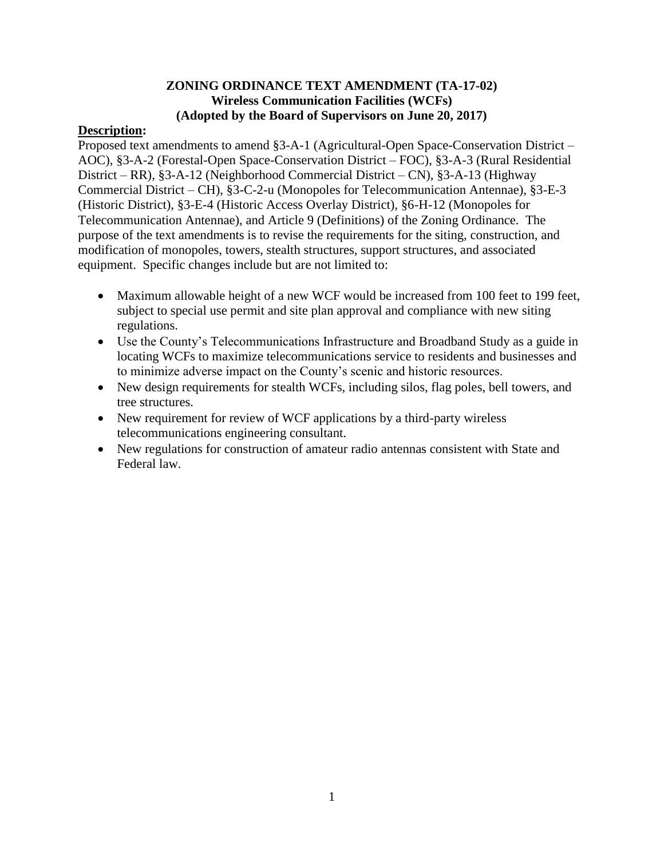## **ZONING ORDINANCE TEXT AMENDMENT (TA-17-02) Wireless Communication Facilities (WCFs) (Adopted by the Board of Supervisors on June 20, 2017)**

### **Description:**

Proposed text amendments to amend §3-A-1 (Agricultural-Open Space-Conservation District – AOC), §3-A-2 (Forestal-Open Space-Conservation District – FOC), §3-A-3 (Rural Residential District – RR), §3-A-12 (Neighborhood Commercial District – CN), §3-A-13 (Highway Commercial District – CH), §3-C-2-u (Monopoles for Telecommunication Antennae), §3-E-3 (Historic District), §3-E-4 (Historic Access Overlay District), §6-H-12 (Monopoles for Telecommunication Antennae), and Article 9 (Definitions) of the Zoning Ordinance. The purpose of the text amendments is to revise the requirements for the siting, construction, and modification of monopoles, towers, stealth structures, support structures, and associated equipment. Specific changes include but are not limited to:

- Maximum allowable height of a new WCF would be increased from 100 feet to 199 feet, subject to special use permit and site plan approval and compliance with new siting regulations.
- Use the County's Telecommunications Infrastructure and Broadband Study as a guide in locating WCFs to maximize telecommunications service to residents and businesses and to minimize adverse impact on the County's scenic and historic resources.
- New design requirements for stealth WCFs, including silos, flag poles, bell towers, and tree structures.
- New requirement for review of WCF applications by a third-party wireless telecommunications engineering consultant.
- New regulations for construction of amateur radio antennas consistent with State and Federal law.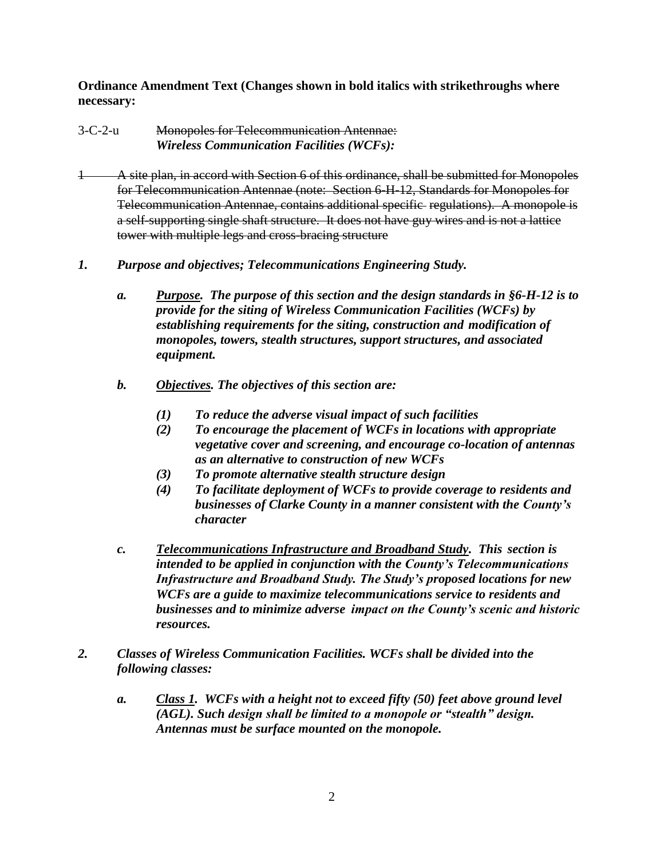**Ordinance Amendment Text (Changes shown in bold italics with strikethroughs where necessary:**

- 3-C-2-u Monopoles for Telecommunication Antennae:  *Wireless Communication Facilities (WCFs):*
- 1 A site plan, in accord with Section 6 of this ordinance, shall be submitted for Monopoles for Telecommunication Antennae (note: Section 6-H-12, Standards for Monopoles for Telecommunication Antennae, contains additional specific regulations). A monopole is a self-supporting single shaft structure. It does not have guy wires and is not a lattice tower with multiple legs and cross-bracing structure
- *1. Purpose and objectives; Telecommunications Engineering Study.*
	- *a. Purpose. The purpose of this section and the design standards in §6-H-12 is to provide for the siting of Wireless Communication Facilities (WCFs) by establishing requirements for the siting, construction and modification of monopoles, towers, stealth structures, support structures, and associated equipment.*
	- *b. Objectives. The objectives of this section are:* 
		- *(1) To reduce the adverse visual impact of such facilities*
		- *(2) To encourage the placement of WCFs in locations with appropriate vegetative cover and screening, and encourage co-location of antennas as an alternative to construction of new WCFs*
		- *(3) To promote alternative stealth structure design*
		- *(4) To facilitate deployment of WCFs to provide coverage to residents and businesses of Clarke County in a manner consistent with the County's character*
	- *c. Telecommunications Infrastructure and Broadband Study. This section is intended to be applied in conjunction with the County's Telecommunications Infrastructure and Broadband Study. The Study's proposed locations for new WCFs are a guide to maximize telecommunications service to residents and businesses and to minimize adverse impact on the County's scenic and historic resources.*
- *2. Classes of Wireless Communication Facilities. WCFs shall be divided into the following classes:*
	- *a. Class 1. WCFs with a height not to exceed fifty (50) feet above ground level (AGL). Such design shall be limited to a monopole or "stealth" design. Antennas must be surface mounted on the monopole.*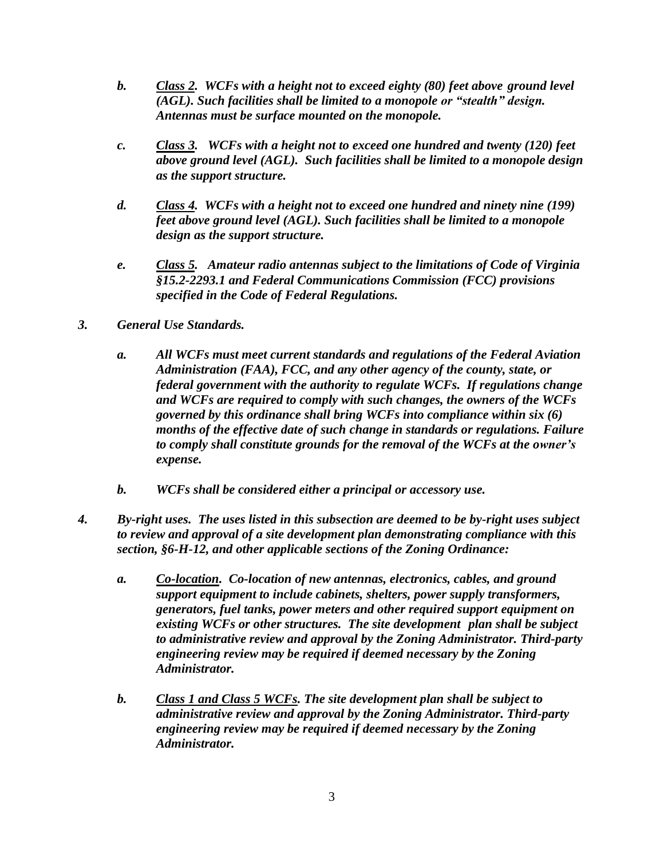- *b. Class 2. WCFs with a height not to exceed eighty (80) feet above ground level (AGL). Such facilities shall be limited to a monopole or "stealth" design. Antennas must be surface mounted on the monopole.*
- *c. Class 3. WCFs with a height not to exceed one hundred and twenty (120) feet above ground level (AGL). Such facilities shall be limited to a monopole design as the support structure.*
- *d. Class 4. WCFs with a height not to exceed one hundred and ninety nine (199) feet above ground level (AGL). Such facilities shall be limited to a monopole design as the support structure.*
- *e. Class 5. Amateur radio antennas subject to the limitations of Code of Virginia §15.2-2293.1 and Federal Communications Commission (FCC) provisions specified in the Code of Federal Regulations.*
- *3. General Use Standards.*
	- *a. All WCFs must meet current standards and regulations of the Federal Aviation Administration (FAA), FCC, and any other agency of the county, state, or federal government with the authority to regulate WCFs. If regulations change and WCFs are required to comply with such changes, the owners of the WCFs governed by this ordinance shall bring WCFs into compliance within six (6) months of the effective date of such change in standards or regulations. Failure to comply shall constitute grounds for the removal of the WCFs at the owner's expense.*
	- *b. WCFs shall be considered either a principal or accessory use.*
- *4. By-right uses. The uses listed in this subsection are deemed to be by-right uses subject to review and approval of a site development plan demonstrating compliance with this section, §6-H-12, and other applicable sections of the Zoning Ordinance:*
	- *a. Co-location. Co-location of new antennas, electronics, cables, and ground support equipment to include cabinets, shelters, power supply transformers, generators, fuel tanks, power meters and other required support equipment on existing WCFs or other structures. The site development plan shall be subject to administrative review and approval by the Zoning Administrator. Third-party engineering review may be required if deemed necessary by the Zoning Administrator.*
	- *b. Class 1 and Class 5 WCFs. The site development plan shall be subject to administrative review and approval by the Zoning Administrator. Third-party engineering review may be required if deemed necessary by the Zoning Administrator.*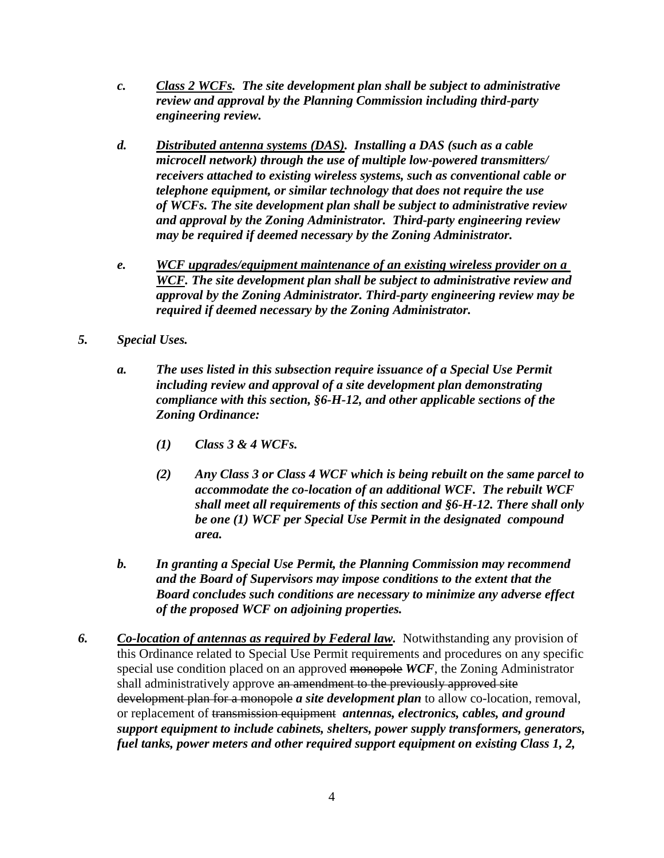- *c. Class 2 WCFs. The site development plan shall be subject to administrative review and approval by the Planning Commission including third-party engineering review.*
- *d. Distributed antenna systems (DAS). Installing a DAS (such as a cable microcell network) through the use of multiple low-powered transmitters/ receivers attached to existing wireless systems, such as conventional cable or telephone equipment, or similar technology that does not require the use of WCFs. The site development plan shall be subject to administrative review and approval by the Zoning Administrator. Third-party engineering review may be required if deemed necessary by the Zoning Administrator.*
- *e. WCF upgrades/equipment maintenance of an existing wireless provider on a WCF. The site development plan shall be subject to administrative review and approval by the Zoning Administrator. Third-party engineering review may be required if deemed necessary by the Zoning Administrator.*
- *5. Special Uses.* 
	- *a. The uses listed in this subsection require issuance of a Special Use Permit including review and approval of a site development plan demonstrating compliance with this section, §6-H-12, and other applicable sections of the Zoning Ordinance:*
		- *(1) Class 3 & 4 WCFs.*
		- *(2) Any Class 3 or Class 4 WCF which is being rebuilt on the same parcel to accommodate the co-location of an additional WCF. The rebuilt WCF shall meet all requirements of this section and §6-H-12. There shall only be one (1) WCF per Special Use Permit in the designated compound area.*
	- *b. In granting a Special Use Permit, the Planning Commission may recommend and the Board of Supervisors may impose conditions to the extent that the Board concludes such conditions are necessary to minimize any adverse effect of the proposed WCF on adjoining properties.*
- *6. Co-location of antennas as required by Federal law.* Notwithstanding any provision of this Ordinance related to Special Use Permit requirements and procedures on any specific special use condition placed on an approved monopole *WCF*, the Zoning Administrator shall administratively approve an amendment to the previously approved site development plan for a monopole *a site development plan* to allow co-location, removal, or replacement of transmission equipment *antennas, electronics, cables, and ground support equipment to include cabinets, shelters, power supply transformers, generators, fuel tanks, power meters and other required support equipment on existing Class 1, 2,*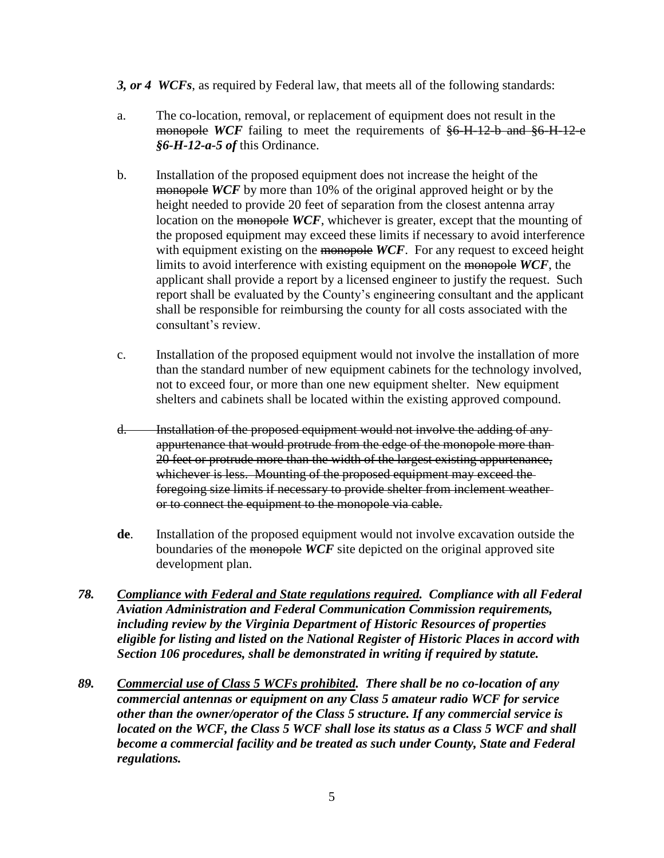*3, or 4 WCFs*, as required by Federal law, that meets all of the following standards:

- a. The co-location, removal, or replacement of equipment does not result in the monopole *WCF* failing to meet the requirements of  $$6$  H-12-b and  $$6$  H-12-e *§6-H-12-a-5 of* this Ordinance.
- b. Installation of the proposed equipment does not increase the height of the monopole *WCF* by more than 10% of the original approved height or by the height needed to provide 20 feet of separation from the closest antenna array location on the monopole *WCF*, whichever is greater, except that the mounting of the proposed equipment may exceed these limits if necessary to avoid interference with equipment existing on the monopole WCF. For any request to exceed height limits to avoid interference with existing equipment on the monopole *WCF*, the applicant shall provide a report by a licensed engineer to justify the request. Such report shall be evaluated by the County's engineering consultant and the applicant shall be responsible for reimbursing the county for all costs associated with the consultant's review.
- c. Installation of the proposed equipment would not involve the installation of more than the standard number of new equipment cabinets for the technology involved, not to exceed four, or more than one new equipment shelter. New equipment shelters and cabinets shall be located within the existing approved compound.
- d. Installation of the proposed equipment would not involve the adding of any appurtenance that would protrude from the edge of the monopole more than 20 feet or protrude more than the width of the largest existing appurtenance, whichever is less. Mounting of the proposed equipment may exceed the foregoing size limits if necessary to provide shelter from inclement weather or to connect the equipment to the monopole via cable.
- **de**. Installation of the proposed equipment would not involve excavation outside the boundaries of the monopole *WCF* site depicted on the original approved site development plan.
- *78. Compliance with Federal and State regulations required. Compliance with all Federal Aviation Administration and Federal Communication Commission requirements, including review by the Virginia Department of Historic Resources of properties eligible for listing and listed on the National Register of Historic Places in accord with Section 106 procedures, shall be demonstrated in writing if required by statute.*
- *89. Commercial use of Class 5 WCFs prohibited. There shall be no co-location of any commercial antennas or equipment on any Class 5 amateur radio WCF for service other than the owner/operator of the Class 5 structure. If any commercial service is located on the WCF, the Class 5 WCF shall lose its status as a Class 5 WCF and shall become a commercial facility and be treated as such under County, State and Federal regulations.*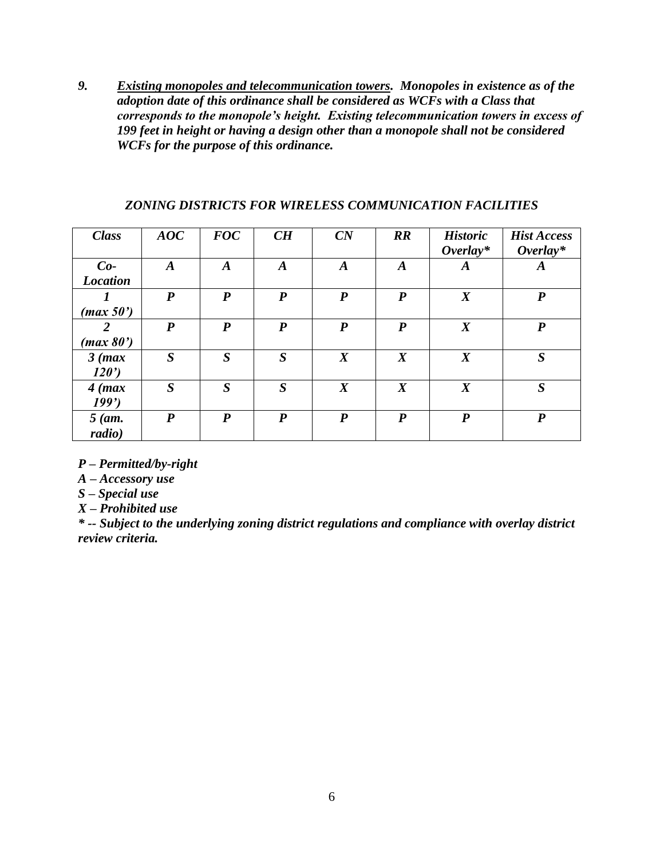*9. Existing monopoles and telecommunication towers. Monopoles in existence as of the adoption date of this ordinance shall be considered as WCFs with a Class that corresponds to the monopole's height. Existing telecommunication towers in excess of 199 feet in height or having a design other than a monopole shall not be considered WCFs for the purpose of this ordinance.*

| <b>Class</b>             | AOC              | <b>FOC</b>       | CH               | CN               | $\mathbb{R}$     | <b>Historic</b><br>$\boldsymbol{Overlay^*}$ | <b>Hist Access</b><br>$Overlay*$ |
|--------------------------|------------------|------------------|------------------|------------------|------------------|---------------------------------------------|----------------------------------|
| $Co-$<br><b>Location</b> | $\boldsymbol{A}$ | $\boldsymbol{A}$ | $\boldsymbol{A}$ | $\boldsymbol{A}$ | A                | $\boldsymbol{A}$                            | $\boldsymbol{A}$                 |
| (max 50')                | $\boldsymbol{P}$ | $\boldsymbol{P}$ | $\boldsymbol{P}$ | $\boldsymbol{P}$ | $\boldsymbol{P}$ | $\boldsymbol{X}$                            | $\boldsymbol{P}$                 |
| 2<br>(max 80')           | $\boldsymbol{P}$ | $\boldsymbol{P}$ | P                | $\boldsymbol{P}$ | $\boldsymbol{P}$ | $\boldsymbol{X}$                            | P                                |
| $3$ (max)<br>120'        | $\boldsymbol{S}$ | $\boldsymbol{S}$ | $\boldsymbol{S}$ | $\boldsymbol{X}$ | $\boldsymbol{X}$ | $\boldsymbol{X}$                            | $\boldsymbol{S}$                 |
| $4$ (max)<br>199'        | $\boldsymbol{S}$ | $\boldsymbol{S}$ | $\boldsymbol{S}$ | $\boldsymbol{X}$ | $\boldsymbol{X}$ | $\boldsymbol{X}$                            | $\boldsymbol{S}$                 |
| $5$ (am.<br>radio)       | $\boldsymbol{P}$ | $\boldsymbol{P}$ | $\boldsymbol{P}$ | $\boldsymbol{P}$ | $\boldsymbol{P}$ | $\boldsymbol{P}$                            | $\boldsymbol{p}$                 |

### *ZONING DISTRICTS FOR WIRELESS COMMUNICATION FACILITIES*

*P – Permitted/by-right*

*A – Accessory use*

*S – Special use*

*X – Prohibited use*

*\* -- Subject to the underlying zoning district regulations and compliance with overlay district review criteria.*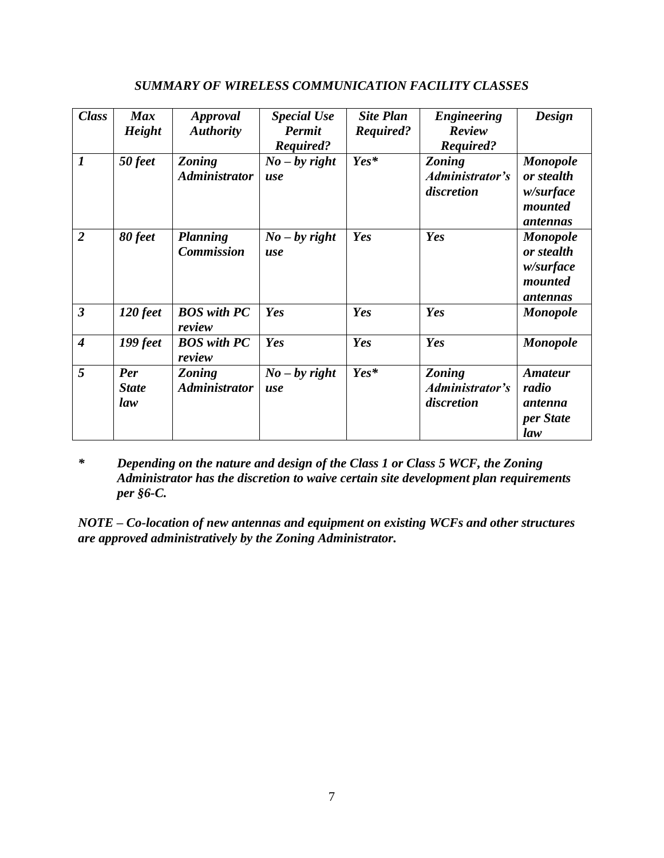| <b>Class</b>                | <b>Max</b>    |                      | <b>Special Use</b> | <b>Site Plan</b> | <b>Engineering</b> | <b>Design</b>   |
|-----------------------------|---------------|----------------------|--------------------|------------------|--------------------|-----------------|
|                             |               | Approval             |                    |                  |                    |                 |
|                             | <b>Height</b> | <b>Authority</b>     | <b>Permit</b>      | Required?        | Review             |                 |
|                             |               |                      | Required?          |                  | Required?          |                 |
| $\boldsymbol{l}$            | 50 feet       | <b>Zoning</b>        | $No - by right$    | $Yes*$           | <b>Zoning</b>      | <b>Monopole</b> |
|                             |               | <b>Administrator</b> | use                |                  | Administrator's    | or stealth      |
|                             |               |                      |                    |                  | discretion         | w/surface       |
|                             |               |                      |                    |                  |                    |                 |
|                             |               |                      |                    |                  |                    | mounted         |
|                             |               |                      |                    |                  |                    | antennas        |
| $\overline{2}$              | 80 feet       | <b>Planning</b>      | $No - by right$    | Yes              | Yes                | <b>Monopole</b> |
|                             |               | <b>Commission</b>    | use                |                  |                    | or stealth      |
|                             |               |                      |                    |                  |                    | w/surface       |
|                             |               |                      |                    |                  |                    | mounted         |
|                             |               |                      |                    |                  |                    |                 |
|                             |               |                      |                    |                  |                    | antennas        |
| $\overline{\mathbf{3}}$     | 120 feet      | <b>BOS</b> with PC   | Yes                | Yes              | Yes                | <b>Monopole</b> |
|                             |               | review               |                    |                  |                    |                 |
| $\overline{\boldsymbol{4}}$ | 199 feet      | <b>BOS</b> with PC   | Yes                | Yes              | Yes                | <b>Monopole</b> |
|                             |               | review               |                    |                  |                    |                 |
| 5                           | Per           | <b>Zoning</b>        | $No - by right$    | Yes*             | <b>Zoning</b>      | <b>Amateur</b>  |
|                             |               |                      |                    |                  |                    |                 |
|                             | <b>State</b>  | <b>Administrator</b> | use                |                  | Administrator's    | radio           |
|                             | law           |                      |                    |                  | discretion         | antenna         |
|                             |               |                      |                    |                  |                    | per State       |
|                             |               |                      |                    |                  |                    | law             |
|                             |               |                      |                    |                  |                    |                 |

### *SUMMARY OF WIRELESS COMMUNICATION FACILITY CLASSES*

*\* Depending on the nature and design of the Class 1 or Class 5 WCF, the Zoning Administrator has the discretion to waive certain site development plan requirements per §6-C.* 

*NOTE – Co-location of new antennas and equipment on existing WCFs and other structures are approved administratively by the Zoning Administrator.*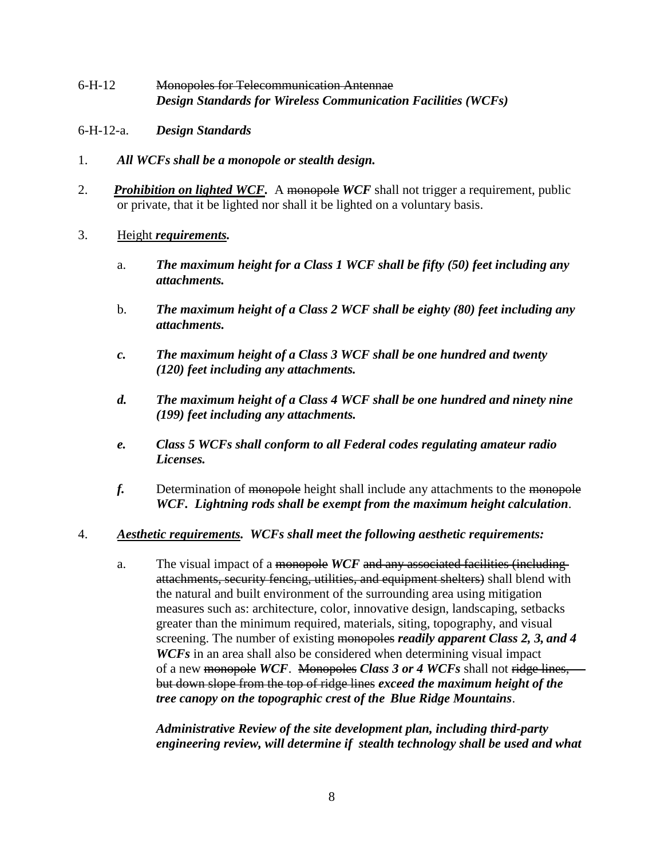- 6-H-12 Monopoles for Telecommunication Antennae *Design Standards for Wireless Communication Facilities (WCFs)*
- 6-H-12-a. *Design Standards*
- 1. *All WCFs shall be a monopole or stealth design.*
- 2. **Prohibition on lighted WCF.** A monopole WCF shall not trigger a requirement, public or private, that it be lighted nor shall it be lighted on a voluntary basis.
- 3. Height *requirements.*
	- a. *The maximum height for a Class 1 WCF shall be fifty (50) feet including any attachments.*
	- b. *The maximum height of a Class 2 WCF shall be eighty (80) feet including any attachments.*
	- *c. The maximum height of a Class 3 WCF shall be one hundred and twenty (120) feet including any attachments.*
	- *d. The maximum height of a Class 4 WCF shall be one hundred and ninety nine (199) feet including any attachments.*
	- *e. Class 5 WCFs shall conform to all Federal codes regulating amateur radio Licenses.*
	- *f.* Determination of monopole height shall include any attachments to the monopole *WCF. Lightning rods shall be exempt from the maximum height calculation*.
- 4. *Aesthetic requirements. WCFs shall meet the following aesthetic requirements:*
	- a. The visual impact of a monopole *WCF* and any associated facilities (including attachments, security fencing, utilities, and equipment shelters) shall blend with the natural and built environment of the surrounding area using mitigation measures such as: architecture, color, innovative design, landscaping, setbacks greater than the minimum required, materials, siting, topography, and visual screening. The number of existing monopoles *readily apparent Class 2, 3, and 4 WCFs* in an area shall also be considered when determining visual impact of a new monopole *WCF*. Monopoles *Class 3 or 4 WCFs* shall not ridge lines, but down slope from the top of ridge lines *exceed the maximum height of the tree canopy on the topographic crest of the Blue Ridge Mountains*.

*Administrative Review of the site development plan, including third-party engineering review, will determine if stealth technology shall be used and what*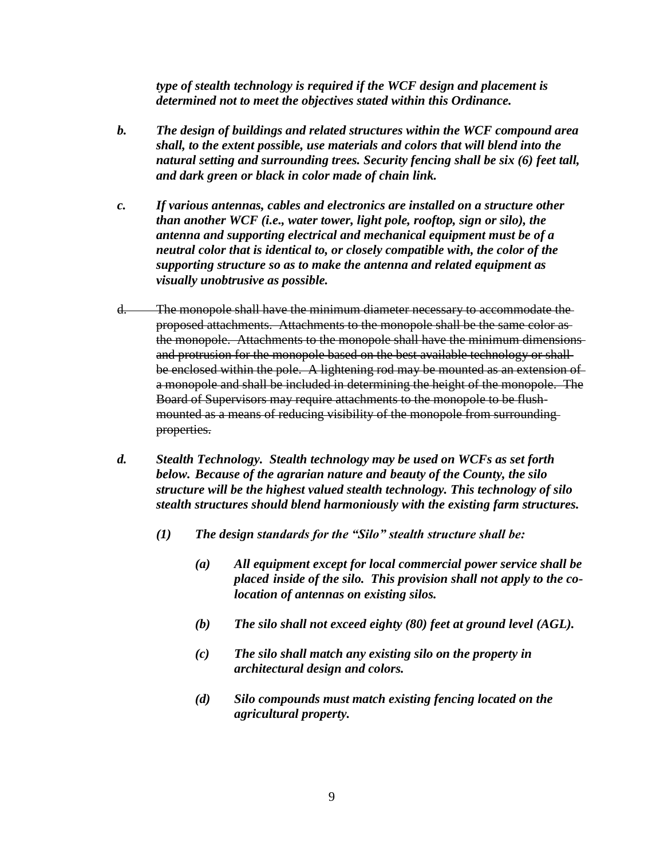*type of stealth technology is required if the WCF design and placement is determined not to meet the objectives stated within this Ordinance.*

- *b. The design of buildings and related structures within the WCF compound area shall, to the extent possible, use materials and colors that will blend into the natural setting and surrounding trees. Security fencing shall be six (6) feet tall, and dark green or black in color made of chain link.*
- *c. If various antennas, cables and electronics are installed on a structure other than another WCF (i.e., water tower, light pole, rooftop, sign or silo), the antenna and supporting electrical and mechanical equipment must be of a neutral color that is identical to, or closely compatible with, the color of the supporting structure so as to make the antenna and related equipment as visually unobtrusive as possible.*
- d. The monopole shall have the minimum diameter necessary to accommodate the proposed attachments. Attachments to the monopole shall be the same color as the monopole. Attachments to the monopole shall have the minimum dimensions and protrusion for the monopole based on the best available technology or shall be enclosed within the pole. A lightening rod may be mounted as an extension of a monopole and shall be included in determining the height of the monopole. The Board of Supervisors may require attachments to the monopole to be flushmounted as a means of reducing visibility of the monopole from surrounding properties.
- *d. Stealth Technology. Stealth technology may be used on WCFs as set forth below. Because of the agrarian nature and beauty of the County, the silo structure will be the highest valued stealth technology. This technology of silo stealth structures should blend harmoniously with the existing farm structures.* 
	- *(1) The design standards for the "Silo" stealth structure shall be:*
		- *(a) All equipment except for local commercial power service shall be placed inside of the silo. This provision shall not apply to the colocation of antennas on existing silos.*
		- *(b) The silo shall not exceed eighty (80) feet at ground level (AGL).*
		- *(c) The silo shall match any existing silo on the property in architectural design and colors.*
		- *(d) Silo compounds must match existing fencing located on the agricultural property.*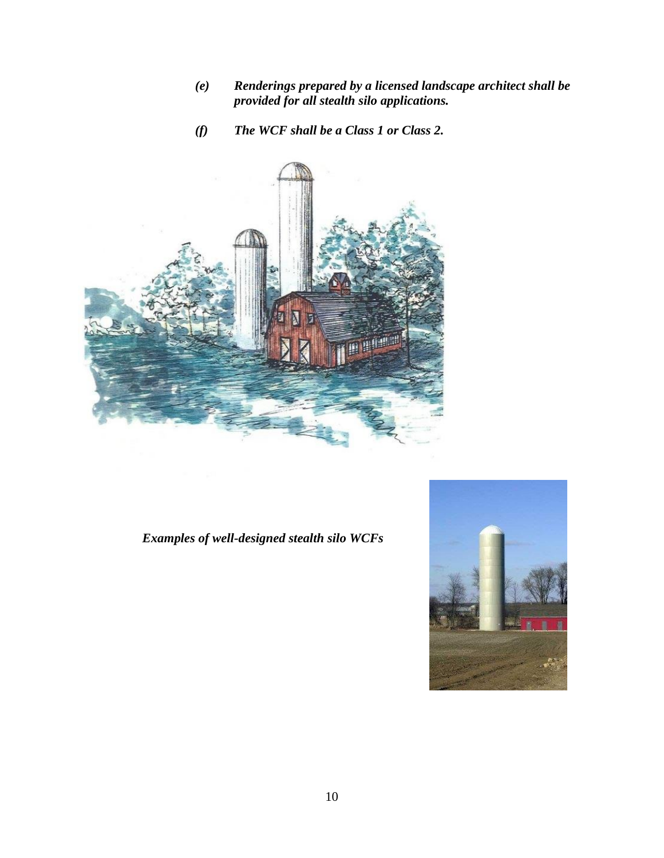- *(e) Renderings prepared by a licensed landscape architect shall be provided for all stealth silo applications.*
- *(f) The WCF shall be a Class 1 or Class 2.*



# *Examples of well-designed stealth silo WCFs*

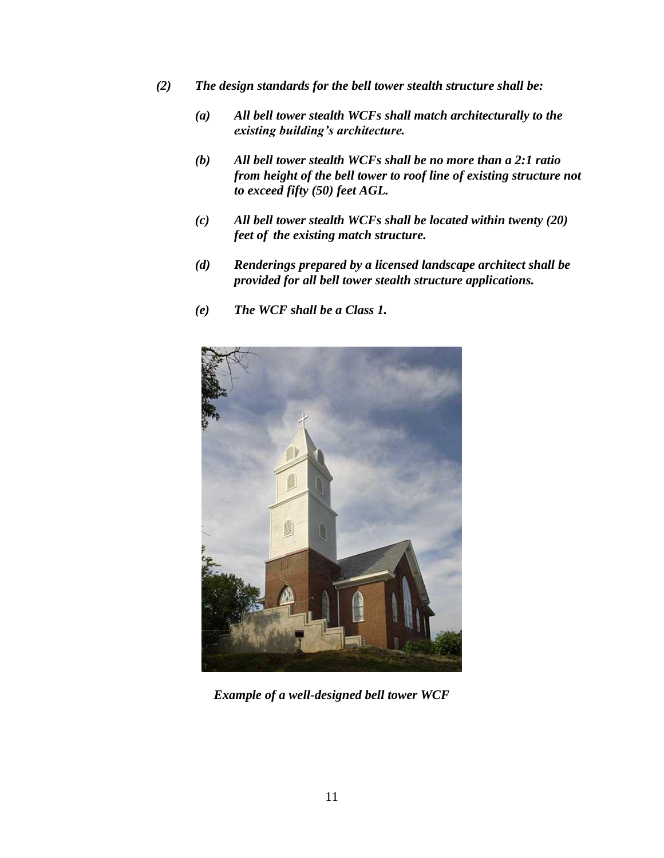- *(2) The design standards for the bell tower stealth structure shall be:*
	- *(a) All bell tower stealth WCFs shall match architecturally to the existing building's architecture.*
	- *(b) All bell tower stealth WCFs shall be no more than a 2:1 ratio from height of the bell tower to roof line of existing structure not to exceed fifty (50) feet AGL.*
	- *(c) All bell tower stealth WCFs shall be located within twenty (20) feet of the existing match structure.*
	- *(d) Renderings prepared by a licensed landscape architect shall be provided for all bell tower stealth structure applications.*
	- *(e) The WCF shall be a Class 1.*



*Example of a well-designed bell tower WCF*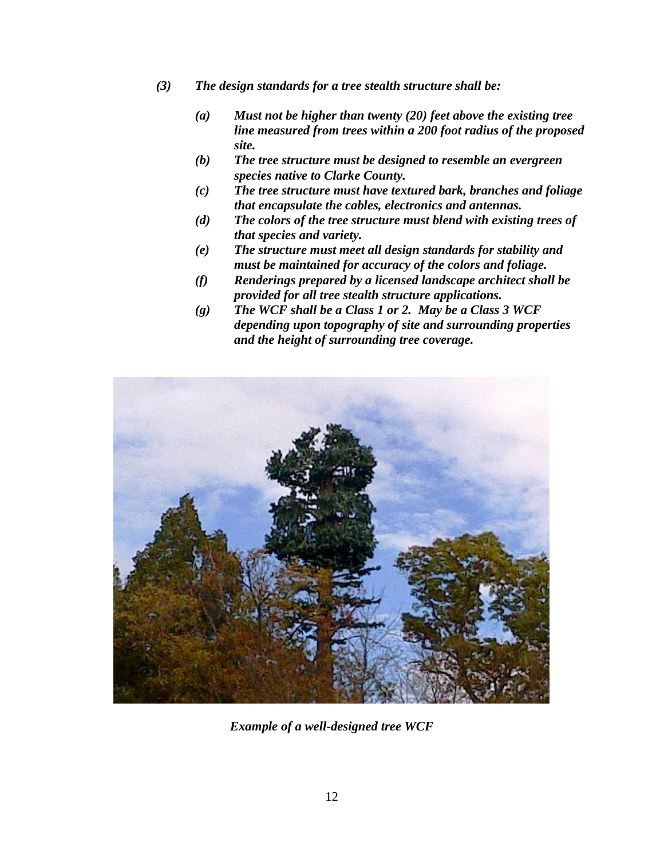- *(3) The design standards for a tree stealth structure shall be:*
	- *(a) Must not be higher than twenty (20) feet above the existing tree line measured from trees within a 200 foot radius of the proposed site.*
	- *(b) The tree structure must be designed to resemble an evergreen species native to Clarke County.*
	- *(c) The tree structure must have textured bark, branches and foliage that encapsulate the cables, electronics and antennas.*
	- *(d) The colors of the tree structure must blend with existing trees of that species and variety.*
	- *(e) The structure must meet all design standards for stability and must be maintained for accuracy of the colors and foliage.*
	- *(f) Renderings prepared by a licensed landscape architect shall be provided for all tree stealth structure applications.*
	- *(g) The WCF shall be a Class 1 or 2. May be a Class 3 WCF depending upon topography of site and surrounding properties and the height of surrounding tree coverage.*



*Example of a well-designed tree WCF*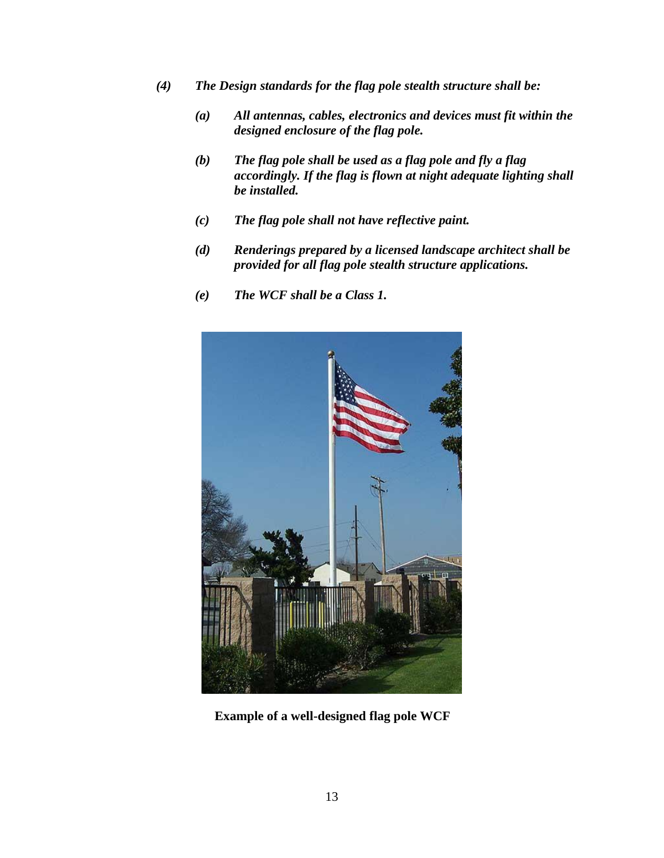- *(4) The Design standards for the flag pole stealth structure shall be:*
	- *(a) All antennas, cables, electronics and devices must fit within the designed enclosure of the flag pole.*
	- *(b) The flag pole shall be used as a flag pole and fly a flag accordingly. If the flag is flown at night adequate lighting shall be installed.*
	- *(c) The flag pole shall not have reflective paint.*
	- *(d) Renderings prepared by a licensed landscape architect shall be provided for all flag pole stealth structure applications.*
	- *(e) The WCF shall be a Class 1.*



**Example of a well-designed flag pole WCF**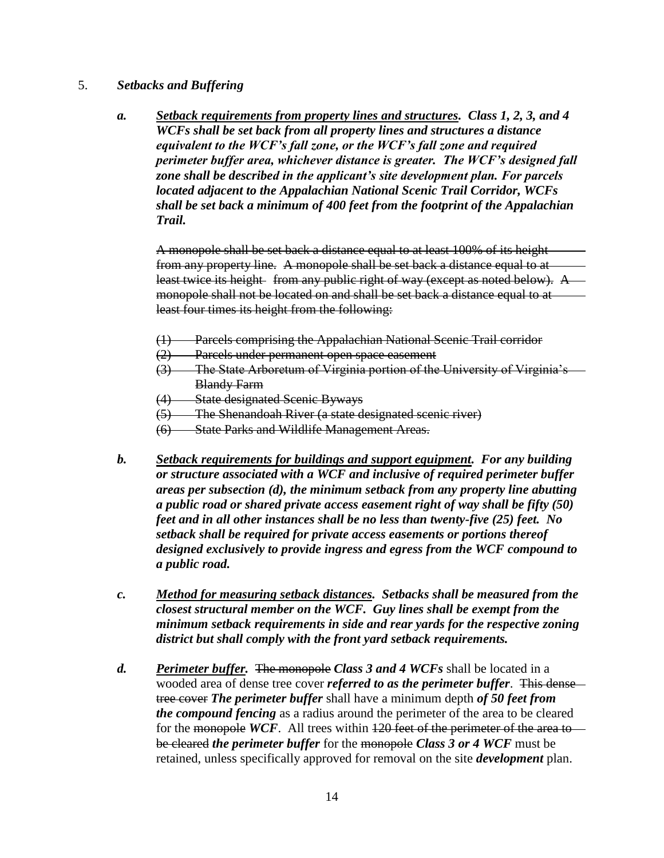#### 5. *Setbacks and Buffering*

*a. Setback requirements from property lines and structures. Class 1, 2, 3, and 4 WCFs shall be set back from all property lines and structures a distance equivalent to the WCF's fall zone, or the WCF's fall zone and required perimeter buffer area, whichever distance is greater. The WCF's designed fall zone shall be described in the applicant's site development plan. For parcels located adjacent to the Appalachian National Scenic Trail Corridor, WCFs shall be set back a minimum of 400 feet from the footprint of the Appalachian Trail.*

A monopole shall be set back a distance equal to at least 100% of its height from any property line. A monopole shall be set back a distance equal to at least twice its height from any public right of way (except as noted below). A monopole shall not be located on and shall be set back a distance equal to at least four times its height from the following:

- (1) Parcels comprising the Appalachian National Scenic Trail corridor
- (2) Parcels under permanent open space easement
- (3) The State Arboretum of Virginia portion of the University of Virginia's Blandy Farm
- (4) State designated Scenic Byways
- (5) The Shenandoah River (a state designated scenic river)
- (6) State Parks and Wildlife Management Areas.
- *b. Setback requirements for buildings and support equipment. For any building or structure associated with a WCF and inclusive of required perimeter buffer areas per subsection (d), the minimum setback from any property line abutting a public road or shared private access easement right of way shall be fifty (50) feet and in all other instances shall be no less than twenty-five (25) feet. No setback shall be required for private access easements or portions thereof designed exclusively to provide ingress and egress from the WCF compound to a public road.*
- *c. Method for measuring setback distances. Setbacks shall be measured from the closest structural member on the WCF. Guy lines shall be exempt from the minimum setback requirements in side and rear yards for the respective zoning district but shall comply with the front yard setback requirements.*
- *d. Perimeter buffer.* The monopole *Class 3 and 4 WCFs* shall be located in a wooded area of dense tree cover *referred to as the perimeter buffer*. This dense tree cover *The perimeter buffer* shall have a minimum depth *of 50 feet from the compound fencing* as a radius around the perimeter of the area to be cleared for the monopole WCF. All trees within  $120$  feet of the perimeter of the area to be cleared *the perimeter buffer* for the monopole *Class 3 or 4 WCF* must be retained, unless specifically approved for removal on the site *development* plan.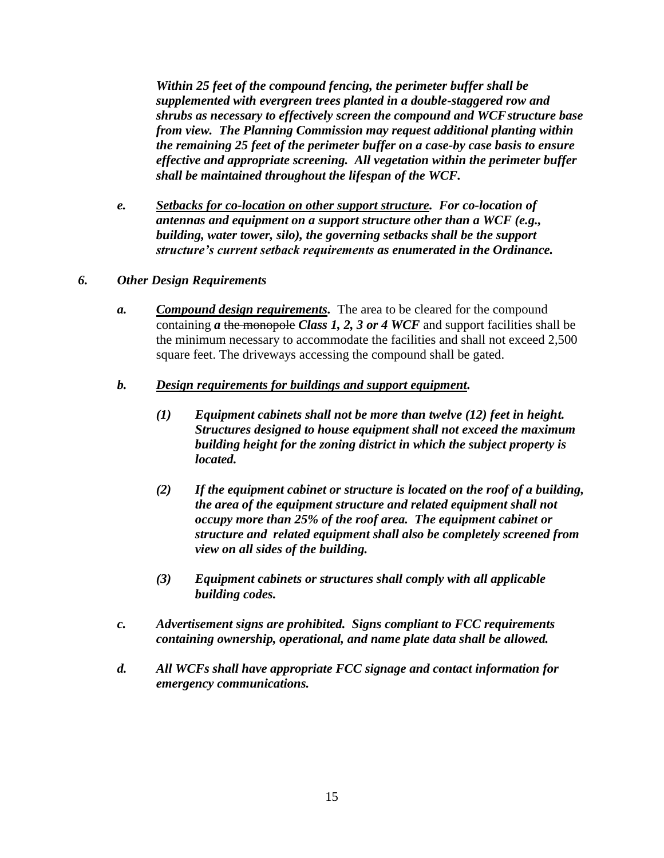*Within 25 feet of the compound fencing, the perimeter buffer shall be supplemented with evergreen trees planted in a double-staggered row and shrubs as necessary to effectively screen the compound and WCFstructure base from view. The Planning Commission may request additional planting within the remaining 25 feet of the perimeter buffer on a case-by case basis to ensure effective and appropriate screening. All vegetation within the perimeter buffer shall be maintained throughout the lifespan of the WCF.* 

- *e. Setbacks for co-location on other support structure. For co-location of antennas and equipment on a support structure other than a WCF (e.g., building, water tower, silo), the governing setbacks shall be the support structure's current setback requirements as enumerated in the Ordinance.*
- *6. Other Design Requirements*
	- *a. Compound design requirements.* The area to be cleared for the compound containing *a* the monopole *Class 1, 2, 3 or 4 WCF* and support facilities shall be the minimum necessary to accommodate the facilities and shall not exceed 2,500 square feet. The driveways accessing the compound shall be gated.
	- *b. Design requirements for buildings and support equipment.*
		- *(1) Equipment cabinets shall not be more than twelve (12) feet in height. Structures designed to house equipment shall not exceed the maximum building height for the zoning district in which the subject property is located.*
		- *(2) If the equipment cabinet or structure is located on the roof of a building, the area of the equipment structure and related equipment shall not occupy more than 25% of the roof area. The equipment cabinet or structure and related equipment shall also be completely screened from view on all sides of the building.*
		- *(3) Equipment cabinets or structures shall comply with all applicable building codes.*
	- *c. Advertisement signs are prohibited. Signs compliant to FCC requirements containing ownership, operational, and name plate data shall be allowed.*
	- *d. All WCFs shall have appropriate FCC signage and contact information for emergency communications.*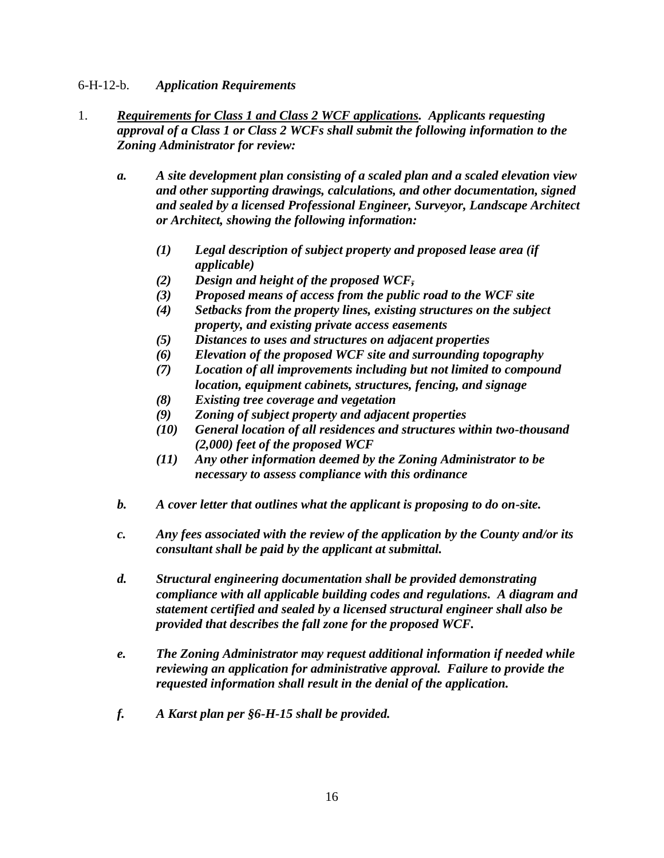### 6-H-12-b. *Application Requirements*

- 1. *Requirements for Class 1 and Class 2 WCF applications. Applicants requesting approval of a Class 1 or Class 2 WCFs shall submit the following information to the Zoning Administrator for review:*
	- *a. A site development plan consisting of a scaled plan and a scaled elevation view and other supporting drawings, calculations, and other documentation, signed and sealed by a licensed Professional Engineer, Surveyor, Landscape Architect or Architect, showing the following information:*
		- *(1) Legal description of subject property and proposed lease area (if applicable)*
		- *(2) Design and height of the proposed WCF,*
		- *(3) Proposed means of access from the public road to the WCF site*
		- *(4) Setbacks from the property lines, existing structures on the subject property, and existing private access easements*
		- *(5) Distances to uses and structures on adjacent properties*
		- *(6) Elevation of the proposed WCF site and surrounding topography*
		- *(7) Location of all improvements including but not limited to compound location, equipment cabinets, structures, fencing, and signage*
		- *(8) Existing tree coverage and vegetation*
		- *(9) Zoning of subject property and adjacent properties*
		- *(10) General location of all residences and structures within two-thousand (2,000) feet of the proposed WCF*
		- *(11) Any other information deemed by the Zoning Administrator to be necessary to assess compliance with this ordinance*
	- *b. A cover letter that outlines what the applicant is proposing to do on-site.*
	- *c. Any fees associated with the review of the application by the County and/or its consultant shall be paid by the applicant at submittal.*
	- *d. Structural engineering documentation shall be provided demonstrating compliance with all applicable building codes and regulations. A diagram and statement certified and sealed by a licensed structural engineer shall also be provided that describes the fall zone for the proposed WCF.*
	- *e. The Zoning Administrator may request additional information if needed while reviewing an application for administrative approval. Failure to provide the requested information shall result in the denial of the application.*
	- *f. A Karst plan per §6-H-15 shall be provided.*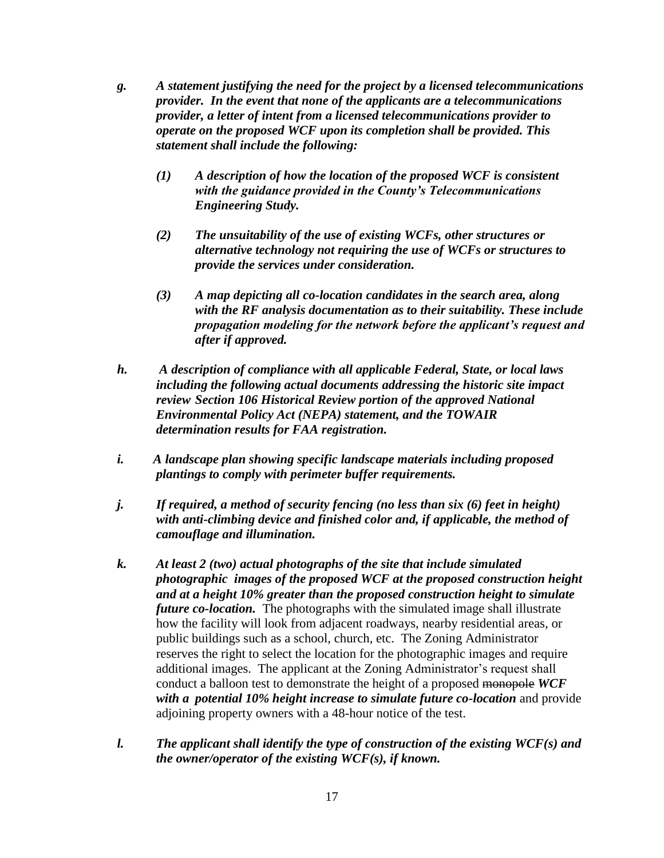- *g. A statement justifying the need for the project by a licensed telecommunications provider. In the event that none of the applicants are a telecommunications provider, a letter of intent from a licensed telecommunications provider to operate on the proposed WCF upon its completion shall be provided. This statement shall include the following:* 
	- *(1) A description of how the location of the proposed WCF is consistent with the guidance provided in the County's Telecommunications Engineering Study.*
	- *(2) The unsuitability of the use of existing WCFs, other structures or alternative technology not requiring the use of WCFs or structures to provide the services under consideration.*
	- *(3) A map depicting all co-location candidates in the search area, along with the RF analysis documentation as to their suitability. These include propagation modeling for the network before the applicant's request and after if approved.*
- *h. A description of compliance with all applicable Federal, State, or local laws including the following actual documents addressing the historic site impact review Section 106 Historical Review portion of the approved National Environmental Policy Act (NEPA) statement, and the TOWAIR determination results for FAA registration.*
- *i. A landscape plan showing specific landscape materials including proposed plantings to comply with perimeter buffer requirements.*
- *j. If required, a method of security fencing (no less than six (6) feet in height) with anti-climbing device and finished color and, if applicable, the method of camouflage and illumination.*
- *k. At least 2 (two) actual photographs of the site that include simulated photographic images of the proposed WCF at the proposed construction height and at a height 10% greater than the proposed construction height to simulate future co-location.* The photographs with the simulated image shall illustrate how the facility will look from adjacent roadways, nearby residential areas, or public buildings such as a school, church, etc.The Zoning Administrator reserves the right to select the location for the photographic images and require additional images. The applicant at the Zoning Administrator's request shall conduct a balloon test to demonstrate the height of a proposed monopole *WCF with a potential 10% height increase to simulate future co-location* and provide adjoining property owners with a 48-hour notice of the test.
- *l. The applicant shall identify the type of construction of the existing WCF(s) and the owner/operator of the existing WCF(s), if known.*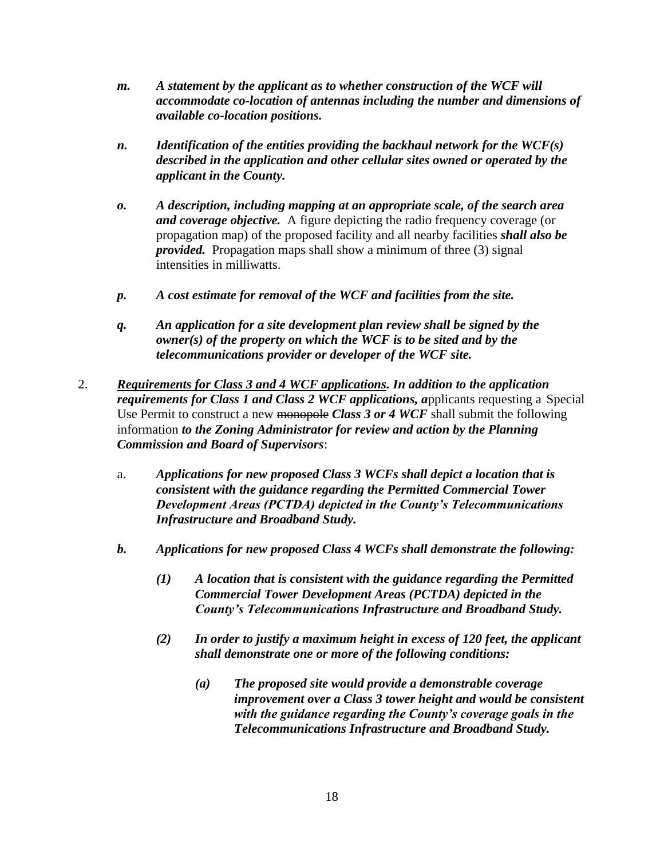- *m. A statement by the applicant as to whether construction of the WCF will accommodate co-location of antennas including the number and dimensions of available co-location positions.*
- *n. Identification of the entities providing the backhaul network for the WCF(s) described in the application and other cellular sites owned or operated by the applicant in the County.*
- *o. A description, including mapping at an appropriate scale, of the search area and coverage objective.* A figure depicting the radio frequency coverage (or propagation map) of the proposed facility and all nearby facilities *shall also be provided.* Propagation maps shall show a minimum of three (3) signal intensities in milliwatts.
- *p. A cost estimate for removal of the WCF and facilities from the site.*
- *q. An application for a site development plan review shall be signed by the owner(s) of the property on which the WCF is to be sited and by the telecommunications provider or developer of the WCF site.*
- 2. *Requirements for Class 3 and 4 WCF applications. In addition to the application requirements for Class 1 and Class 2 WCF applications, applicants requesting a Special* Use Permit to construct a new monopole *Class 3 or 4 WCF* shall submit the following information *to the Zoning Administrator for review and action by the Planning Commission and Board of Supervisors*:
	- a. *Applications for new proposed Class 3 WCFs shall depict a location that is consistent with the guidance regarding the Permitted Commercial Tower Development Areas (PCTDA) depicted in the County's Telecommunications Infrastructure and Broadband Study.*
	- *b. Applications for new proposed Class 4 WCFs shall demonstrate the following:* 
		- *(1) A location that is consistent with the guidance regarding the Permitted Commercial Tower Development Areas (PCTDA) depicted in the County's Telecommunications Infrastructure and Broadband Study.*
		- *(2) In order to justify a maximum height in excess of 120 feet, the applicant shall demonstrate one or more of the following conditions:*
			- *(a) The proposed site would provide a demonstrable coverage improvement over a Class 3 tower height and would be consistent with the guidance regarding the County's coverage goals in the Telecommunications Infrastructure and Broadband Study.*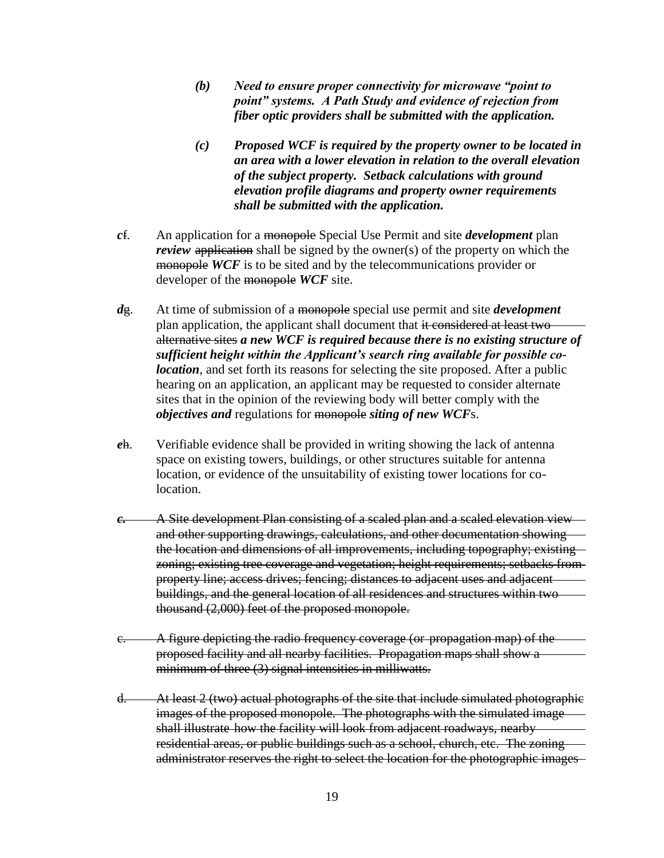- *(b) Need to ensure proper connectivity for microwave "point to point" systems. A Path Study and evidence of rejection from fiber optic providers shall be submitted with the application.*
- *(c) Proposed WCF is required by the property owner to be located in an area with a lower elevation in relation to the overall elevation of the subject property. Setback calculations with ground elevation profile diagrams and property owner requirements shall be submitted with the application.*
- *c*f*.* An application for a monopole Special Use Permit and site *development* plan *review* application shall be signed by the owner(s) of the property on which the monopole *WCF* is to be sited and by the telecommunications provider or developer of the monopole *WCF* site.
- *d*g. At time of submission of a monopole special use permit and site *development*  plan application, the applicant shall document that it considered at least two alternative sites *a new WCF is required because there is no existing structure of sufficient height within the Applicant's search ring available for possible colocation*, and set forth its reasons for selecting the site proposed. After a public hearing on an application, an applicant may be requested to consider alternate sites that in the opinion of the reviewing body will better comply with the *objectives and* regulations for monopole *siting of new WCF*s.
- *e*h. Verifiable evidence shall be provided in writing showing the lack of antenna space on existing towers, buildings, or other structures suitable for antenna location, or evidence of the unsuitability of existing tower locations for colocation.
- *c.* A Site development Plan consisting of a scaled plan and a scaled elevation view and other supporting drawings, calculations, and other documentation showing the location and dimensions of all improvements, including topography; existing zoning; existing tree coverage and vegetation; height requirements; setbacks from property line; access drives; fencing; distances to adjacent uses and adjacent buildings, and the general location of all residences and structures within two thousand (2,000) feet of the proposed monopole.
- c. A figure depicting the radio frequency coverage (or propagation map) of the proposed facility and all nearby facilities. Propagation maps shall show a minimum of three (3) signal intensities in milliwatts.
- d. At least 2 (two) actual photographs of the site that include simulated photographic images of the proposed monopole. The photographs with the simulated image shall illustrate how the facility will look from adjacent roadways, nearby residential areas, or public buildings such as a school, church, etc. The zoning administrator reserves the right to select the location for the photographic images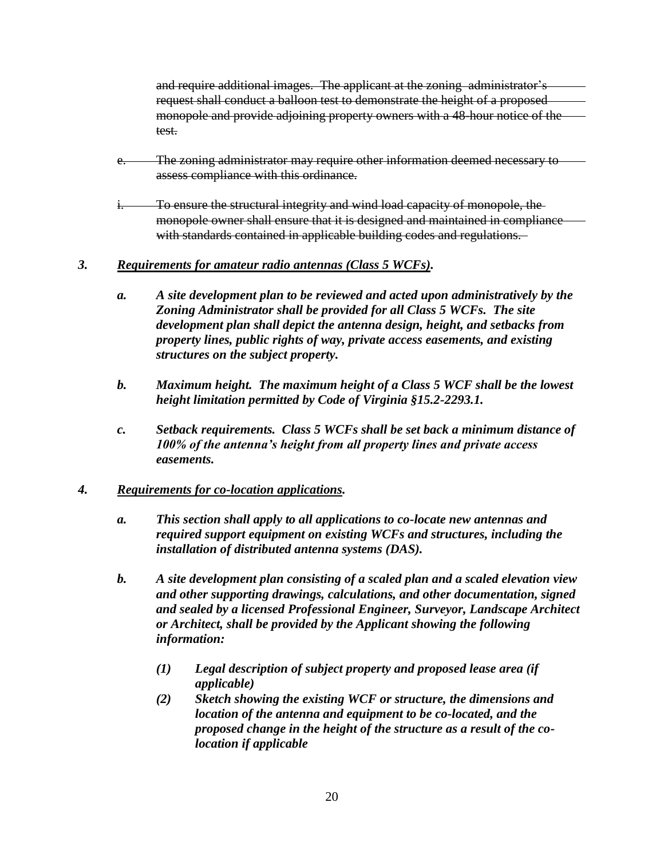and require additional images. The applicant at the zoning administrator's request shall conduct a balloon test to demonstrate the height of a proposed monopole and provide adjoining property owners with a 48-hour notice of the test.

- e. The zoning administrator may require other information deemed necessary to assess compliance with this ordinance.
- i. To ensure the structural integrity and wind load capacity of monopole, the monopole owner shall ensure that it is designed and maintained in compliance with standards contained in applicable building codes and regulations.

### *3. Requirements for amateur radio antennas (Class 5 WCFs).*

- *a. A site development plan to be reviewed and acted upon administratively by the Zoning Administrator shall be provided for all Class 5 WCFs. The site development plan shall depict the antenna design, height, and setbacks from property lines, public rights of way, private access easements, and existing structures on the subject property.*
- *b. Maximum height. The maximum height of a Class 5 WCF shall be the lowest height limitation permitted by Code of Virginia §15.2-2293.1.*
- *c. Setback requirements. Class 5 WCFs shall be set back a minimum distance of 100% of the antenna's height from all property lines and private access easements.*

## *4. Requirements for co-location applications.*

- *a. This section shall apply to all applications to co-locate new antennas and required support equipment on existing WCFs and structures, including the installation of distributed antenna systems (DAS).*
- *b. A site development plan consisting of a scaled plan and a scaled elevation view and other supporting drawings, calculations, and other documentation, signed and sealed by a licensed Professional Engineer, Surveyor, Landscape Architect or Architect, shall be provided by the Applicant showing the following information:*
	- *(1) Legal description of subject property and proposed lease area (if applicable)*
	- *(2) Sketch showing the existing WCF or structure, the dimensions and location of the antenna and equipment to be co-located, and the proposed change in the height of the structure as a result of the colocation if applicable*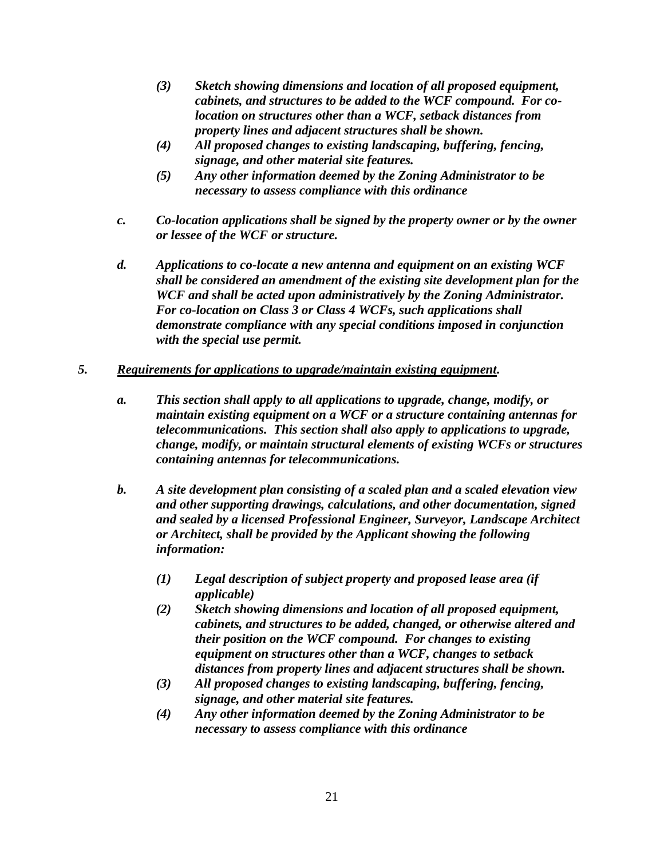- *(3) Sketch showing dimensions and location of all proposed equipment, cabinets, and structures to be added to the WCF compound. For colocation on structures other than a WCF, setback distances from property lines and adjacent structures shall be shown.*
- *(4) All proposed changes to existing landscaping, buffering, fencing, signage, and other material site features.*
- *(5) Any other information deemed by the Zoning Administrator to be necessary to assess compliance with this ordinance*
- *c. Co-location applications shall be signed by the property owner or by the owner or lessee of the WCF or structure.*
- *d. Applications to co-locate a new antenna and equipment on an existing WCF shall be considered an amendment of the existing site development plan for the WCF and shall be acted upon administratively by the Zoning Administrator. For co-location on Class 3 or Class 4 WCFs, such applications shall demonstrate compliance with any special conditions imposed in conjunction with the special use permit.*

### *5. Requirements for applications to upgrade/maintain existing equipment.*

- *a. This section shall apply to all applications to upgrade, change, modify, or maintain existing equipment on a WCF or a structure containing antennas for telecommunications. This section shall also apply to applications to upgrade, change, modify, or maintain structural elements of existing WCFs or structures containing antennas for telecommunications.*
- *b. A site development plan consisting of a scaled plan and a scaled elevation view and other supporting drawings, calculations, and other documentation, signed and sealed by a licensed Professional Engineer, Surveyor, Landscape Architect or Architect, shall be provided by the Applicant showing the following information:*
	- *(1) Legal description of subject property and proposed lease area (if applicable)*
	- *(2) Sketch showing dimensions and location of all proposed equipment, cabinets, and structures to be added, changed, or otherwise altered and their position on the WCF compound. For changes to existing equipment on structures other than a WCF, changes to setback distances from property lines and adjacent structures shall be shown.*
	- *(3) All proposed changes to existing landscaping, buffering, fencing, signage, and other material site features.*
	- *(4) Any other information deemed by the Zoning Administrator to be necessary to assess compliance with this ordinance*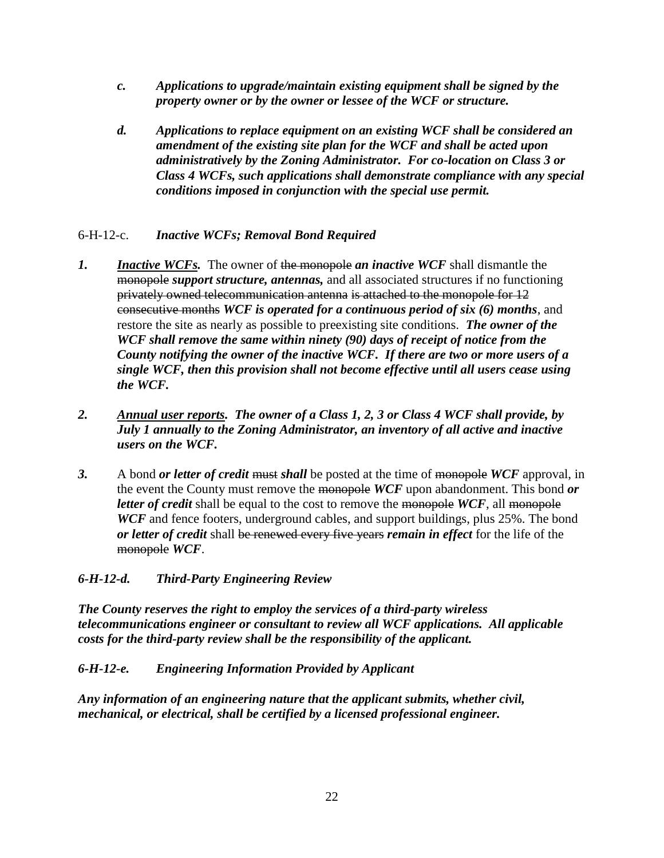- *c. Applications to upgrade/maintain existing equipment shall be signed by the property owner or by the owner or lessee of the WCF or structure.*
- *d. Applications to replace equipment on an existing WCF shall be considered an amendment of the existing site plan for the WCF and shall be acted upon administratively by the Zoning Administrator. For co-location on Class 3 or Class 4 WCFs, such applications shall demonstrate compliance with any special conditions imposed in conjunction with the special use permit.*

## 6-H-12-c. *Inactive WCFs; Removal Bond Required*

- *1. Inactive WCFs.* The owner of the monopole *an inactive WCF* shall dismantle the monopole *support structure, antennas,* and all associated structures if no functioning privately owned telecommunication antenna is attached to the monopole for 12 consecutive months *WCF is operated for a continuous period of six (6) months*, and restore the site as nearly as possible to preexisting site conditions. *The owner of the WCF shall remove the same within ninety (90) days of receipt of notice from the County notifying the owner of the inactive WCF. If there are two or more users of a single WCF, then this provision shall not become effective until all users cease using the WCF.*
- *2. Annual user reports. The owner of a Class 1, 2, 3 or Class 4 WCF shall provide, by July 1 annually to the Zoning Administrator, an inventory of all active and inactive users on the WCF.*
- *3.* A bond *or letter of credit* must *shall* be posted at the time of monopole *WCF* approval, in the event the County must remove the monopole *WCF* upon abandonment. This bond *or letter of credit* shall be equal to the cost to remove the monopole *WCF*, all monopole *WCF* and fence footers, underground cables, and support buildings, plus 25%. The bond *or letter of credit* shall be renewed every five years *remain in effect* for the life of the monopole *WCF*.

## *6-H-12-d. Third-Party Engineering Review*

*The County reserves the right to employ the services of a third-party wireless telecommunications engineer or consultant to review all WCF applications. All applicable costs for the third-party review shall be the responsibility of the applicant.* 

## *6-H-12-e. Engineering Information Provided by Applicant*

*Any information of an engineering nature that the applicant submits, whether civil, mechanical, or electrical, shall be certified by a licensed professional engineer.*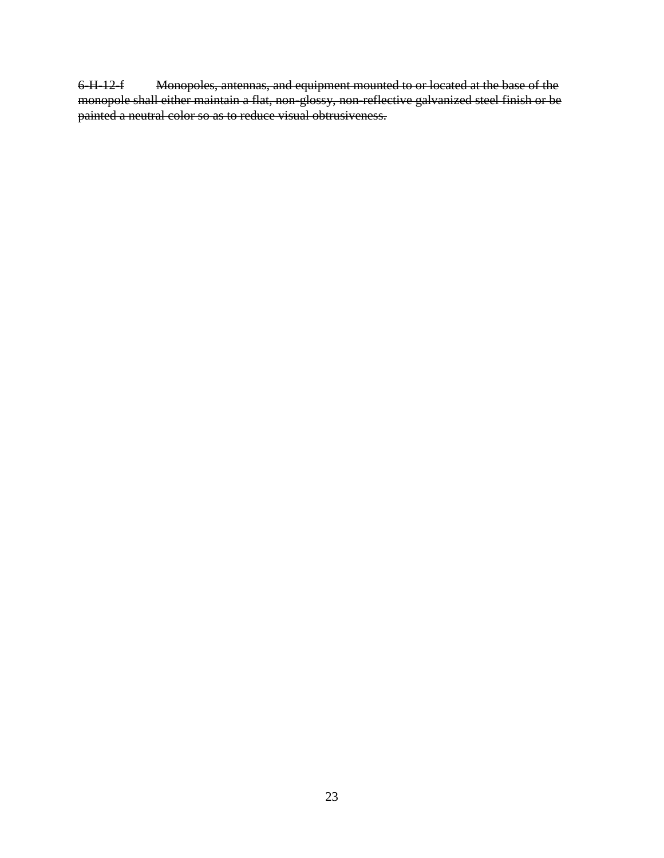6-H-12-f Monopoles, antennas, and equipment mounted to or located at the base of the monopole shall either maintain a flat, non-glossy, non-reflective galvanized steel finish or be painted a neutral color so as to reduce visual obtrusiveness.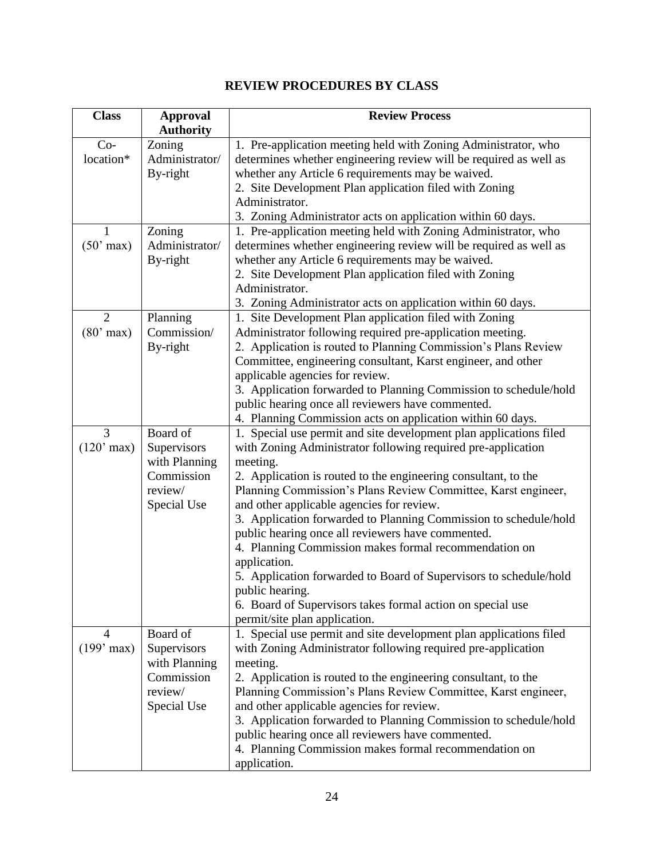## **REVIEW PROCEDURES BY CLASS**

| <b>Class</b>   | <b>Approval</b>  | <b>Review Process</b>                                              |
|----------------|------------------|--------------------------------------------------------------------|
|                | <b>Authority</b> |                                                                    |
| $Co-$          | Zoning           | 1. Pre-application meeting held with Zoning Administrator, who     |
| location*      | Administrator/   | determines whether engineering review will be required as well as  |
|                | By-right         | whether any Article 6 requirements may be waived.                  |
|                |                  | 2. Site Development Plan application filed with Zoning             |
|                |                  | Administrator.                                                     |
|                |                  | 3. Zoning Administrator acts on application within 60 days.        |
| 1              | Zoning           | 1. Pre-application meeting held with Zoning Administrator, who     |
| $(50'$ max)    | Administrator/   | determines whether engineering review will be required as well as  |
|                | By-right         | whether any Article 6 requirements may be waived.                  |
|                |                  | 2. Site Development Plan application filed with Zoning             |
|                |                  | Administrator.                                                     |
|                |                  | 3. Zoning Administrator acts on application within 60 days.        |
| $\overline{2}$ | Planning         | 1. Site Development Plan application filed with Zoning             |
| $(80'$ max)    | Commission/      | Administrator following required pre-application meeting.          |
|                | By-right         | 2. Application is routed to Planning Commission's Plans Review     |
|                |                  | Committee, engineering consultant, Karst engineer, and other       |
|                |                  | applicable agencies for review.                                    |
|                |                  | 3. Application forwarded to Planning Commission to schedule/hold   |
|                |                  | public hearing once all reviewers have commented.                  |
|                |                  | 4. Planning Commission acts on application within 60 days.         |
| 3              | Board of         | 1. Special use permit and site development plan applications filed |
| $(120'$ max)   | Supervisors      | with Zoning Administrator following required pre-application       |
|                | with Planning    | meeting.                                                           |
|                | Commission       | 2. Application is routed to the engineering consultant, to the     |
|                | review/          | Planning Commission's Plans Review Committee, Karst engineer,      |
|                | Special Use      | and other applicable agencies for review.                          |
|                |                  | 3. Application forwarded to Planning Commission to schedule/hold   |
|                |                  | public hearing once all reviewers have commented.                  |
|                |                  | 4. Planning Commission makes formal recommendation on              |
|                |                  | application.                                                       |
|                |                  | 5. Application forwarded to Board of Supervisors to schedule/hold  |
|                |                  | public hearing.                                                    |
|                |                  | 6. Board of Supervisors takes formal action on special use         |
|                |                  | permit/site plan application.                                      |
| $\overline{4}$ | Board of         | 1. Special use permit and site development plan applications filed |
| $(199'$ max)   | Supervisors      | with Zoning Administrator following required pre-application       |
|                | with Planning    | meeting.                                                           |
|                | Commission       | 2. Application is routed to the engineering consultant, to the     |
|                | review/          | Planning Commission's Plans Review Committee, Karst engineer,      |
|                | Special Use      | and other applicable agencies for review.                          |
|                |                  | 3. Application forwarded to Planning Commission to schedule/hold   |
|                |                  | public hearing once all reviewers have commented.                  |
|                |                  | 4. Planning Commission makes formal recommendation on              |
|                |                  | application.                                                       |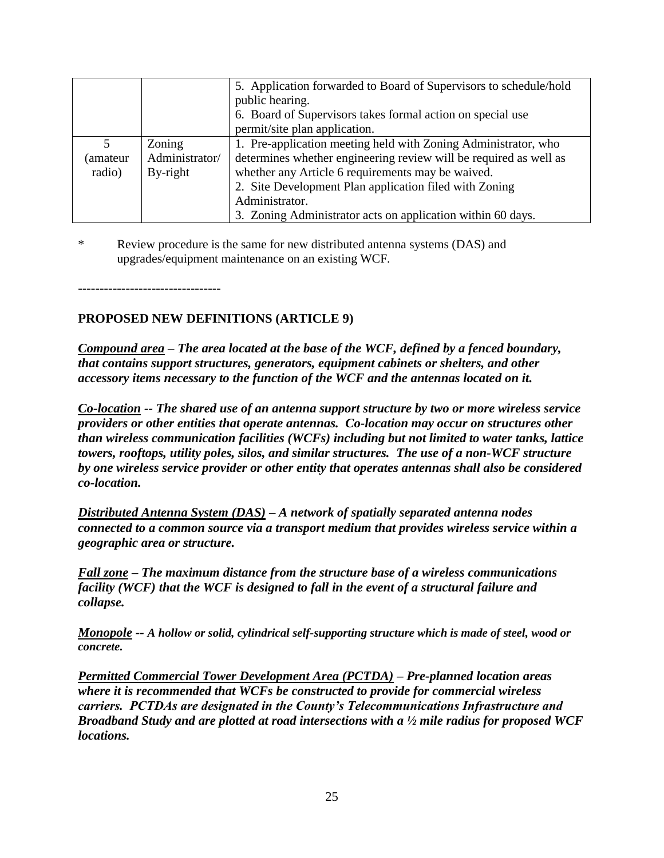|          |                | 5. Application forwarded to Board of Supervisors to schedule/hold |
|----------|----------------|-------------------------------------------------------------------|
|          |                | public hearing.                                                   |
|          |                | 6. Board of Supervisors takes formal action on special use        |
|          |                | permit/site plan application.                                     |
| 5        | Zoning         | 1. Pre-application meeting held with Zoning Administrator, who    |
| (amateur | Administrator/ | determines whether engineering review will be required as well as |
| radio)   | By-right       | whether any Article 6 requirements may be waived.                 |
|          |                | 2. Site Development Plan application filed with Zoning            |
|          |                | Administrator.                                                    |
|          |                | 3. Zoning Administrator acts on application within 60 days.       |

\* Review procedure is the same for new distributed antenna systems (DAS) and upgrades/equipment maintenance on an existing WCF.

**---------------------------------**

## **PROPOSED NEW DEFINITIONS (ARTICLE 9)**

*Compound area – The area located at the base of the WCF, defined by a fenced boundary, that contains support structures, generators, equipment cabinets or shelters, and other accessory items necessary to the function of the WCF and the antennas located on it.*

*Co-location -- The shared use of an antenna support structure by two or more wireless service providers or other entities that operate antennas. Co-location may occur on structures other than wireless communication facilities (WCFs) including but not limited to water tanks, lattice towers, rooftops, utility poles, silos, and similar structures. The use of a non-WCF structure by one wireless service provider or other entity that operates antennas shall also be considered co-location.*

*Distributed Antenna System (DAS) – A network of spatially separated antenna nodes connected to a common source via a transport medium that provides wireless service within a geographic area or structure.*

*Fall zone – The maximum distance from the structure base of a wireless communications facility (WCF) that the WCF is designed to fall in the event of a structural failure and collapse.*

*Monopole -- A hollow or solid, cylindrical self-supporting structure which is made of steel, wood or concrete.* 

*Permitted Commercial Tower Development Area (PCTDA) – Pre-planned location areas where it is recommended that WCFs be constructed to provide for commercial wireless carriers. PCTDAs are designated in the County's Telecommunications Infrastructure and Broadband Study and are plotted at road intersections with a ½ mile radius for proposed WCF locations.*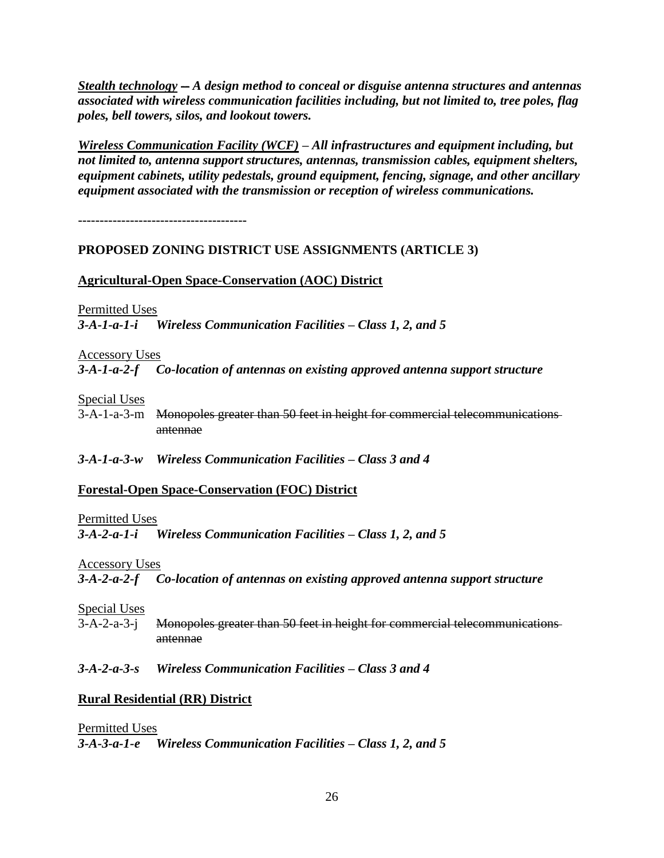*Stealth technology -- A design method to conceal or disguise antenna structures and antennas associated with wireless communication facilities including, but not limited to, tree poles, flag poles, bell towers, silos, and lookout towers.*

*Wireless Communication Facility (WCF) – All infrastructures and equipment including, but not limited to, antenna support structures, antennas, transmission cables, equipment shelters, equipment cabinets, utility pedestals, ground equipment, fencing, signage, and other ancillary equipment associated with the transmission or reception of wireless communications.* 

**---------------------------------------**

### **PROPOSED ZONING DISTRICT USE ASSIGNMENTS (ARTICLE 3)**

### **Agricultural-Open Space-Conservation (AOC) District**

Permitted Uses

*3-A-1-a-1-i Wireless Communication Facilities – Class 1, 2, and 5*

Accessory Uses

*3-A-1-a-2-f Co-location of antennas on existing approved antenna support structure*

Special Uses

3-A-1-a-3-m Monopoles greater than 50 feet in height for commercial telecommunications antennae

*3-A-1-a-3-w Wireless Communication Facilities – Class 3 and 4*

### **Forestal-Open Space-Conservation (FOC) District**

#### Permitted Uses

*3-A-2-a-1-i Wireless Communication Facilities – Class 1, 2, and 5*

Accessory Uses

*3-A-2-a-2-f Co-location of antennas on existing approved antenna support structure*

Special Uses

3-A-2-a-3-j Monopoles greater than 50 feet in height for commercial telecommunications antennae

*3-A-2-a-3-s Wireless Communication Facilities – Class 3 and 4*

### **Rural Residential (RR) District**

Permitted Uses *3-A-3-a-1-e Wireless Communication Facilities – Class 1, 2, and 5*